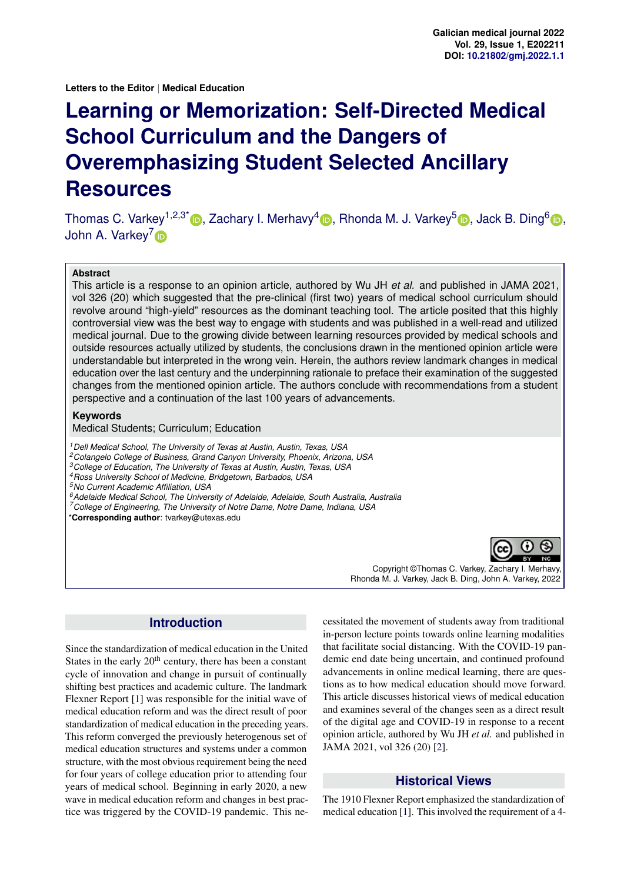**Letters to the Editor** | **Medical Education**

# **Learning or Memorization: Self-Directed Medical School Curriculum and the Dangers of Overemphasizing Student Selected Ancillary Resources**

Thomas C. Varkey<sup>1[,](https://orcid.org/0000-0002-9142-0830)2,3\*</sup> D, Zachary I. Merhavy<sup>4</sup> D, Rhonda M. J. Varkey<sup>5</sup> D, Jack B. Ding<sup>6</sup> D, John A. Varkey<sup>[7](https://orcid.org/0000-0001-5064-3432)</sup><sub>D</sub>

#### **Abstract**

This article is a response to an opinion article, authored by Wu JH *et al.* and published in JAMA 2021, vol 326 (20) which suggested that the pre-clinical (first two) years of medical school curriculum should revolve around "high-yield" resources as the dominant teaching tool. The article posited that this highly controversial view was the best way to engage with students and was published in a well-read and utilized medical journal. Due to the growing divide between learning resources provided by medical schools and outside resources actually utilized by students, the conclusions drawn in the mentioned opinion article were understandable but interpreted in the wrong vein. Herein, the authors review landmark changes in medical education over the last century and the underpinning rationale to preface their examination of the suggested changes from the mentioned opinion article. The authors conclude with recommendations from a student perspective and a continuation of the last 100 years of advancements.

#### **Keywords**

Medical Students; Curriculum; Education

*Dell Medical School, The University of Texas at Austin, Austin, Texas, USA Colangelo College of Business, Grand Canyon University, Phoenix, Arizona, USA College of Education, The University of Texas at Austin, Austin, Texas, USA Ross University School of Medicine, Bridgetown, Barbados, USA No Current Academic Affiliation, USA Adelaide Medical School, The University of Adelaide, Adelaide, South Australia, Australia College of Engineering, The University of Notre Dame, Notre Dame, Indiana, USA*

\***Corresponding author**: tvarkey@utexas.edu



Copyright ©Thomas C. Varkey, Zachary I. Merhavy, Rhonda M. J. Varkey, Jack B. Ding, John A. Varkey, 2022

## **Introduction**

Since the standardization of medical education in the United States in the early  $20<sup>th</sup>$  century, there has been a constant cycle of innovation and change in pursuit of continually shifting best practices and academic culture. The landmark Flexner Report [\[1\]](#page-2-0) was responsible for the initial wave of medical education reform and was the direct result of poor standardization of medical education in the preceding years. This reform converged the previously heterogenous set of medical education structures and systems under a common structure, with the most obvious requirement being the need for four years of college education prior to attending four years of medical school. Beginning in early 2020, a new wave in medical education reform and changes in best practice was triggered by the COVID-19 pandemic. This necessitated the movement of students away from traditional in-person lecture points towards online learning modalities that facilitate social distancing. With the COVID-19 pandemic end date being uncertain, and continued profound advancements in online medical learning, there are questions as to how medical education should move forward. This article discusses historical views of medical education and examines several of the changes seen as a direct result of the digital age and COVID-19 in response to a recent opinion article, authored by Wu JH *et al.* and published in JAMA 2021, vol 326 (20) [\[2\]](#page-3-0).

## **Historical Views**

The 1910 Flexner Report emphasized the standardization of medical education [\[1\]](#page-2-0). This involved the requirement of a 4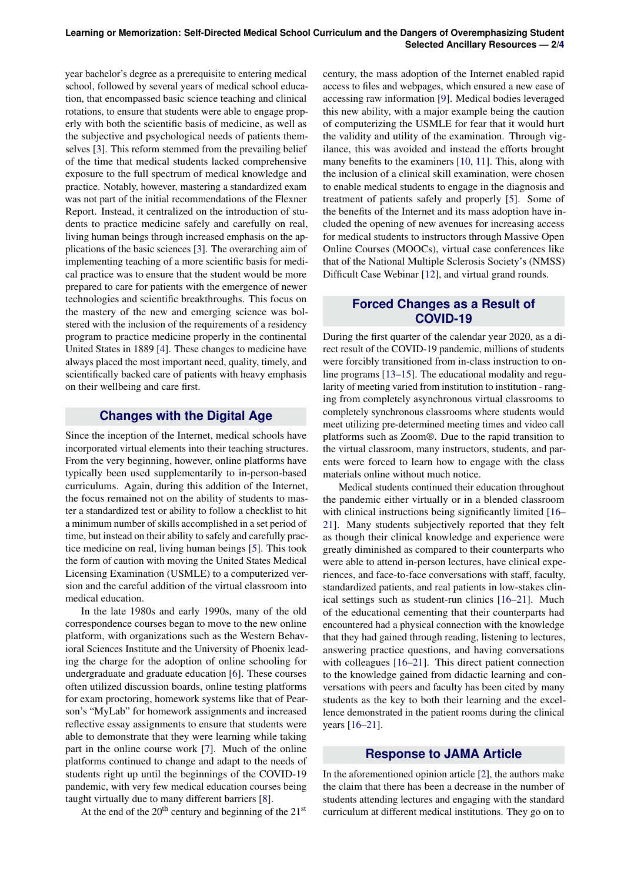year bachelor's degree as a prerequisite to entering medical school, followed by several years of medical school education, that encompassed basic science teaching and clinical rotations, to ensure that students were able to engage properly with both the scientific basis of medicine, as well as the subjective and psychological needs of patients themselves [\[3\]](#page-3-2). This reform stemmed from the prevailing belief of the time that medical students lacked comprehensive exposure to the full spectrum of medical knowledge and practice. Notably, however, mastering a standardized exam was not part of the initial recommendations of the Flexner Report. Instead, it centralized on the introduction of students to practice medicine safely and carefully on real, living human beings through increased emphasis on the applications of the basic sciences [\[3\]](#page-3-2). The overarching aim of implementing teaching of a more scientific basis for medical practice was to ensure that the student would be more prepared to care for patients with the emergence of newer technologies and scientific breakthroughs. This focus on the mastery of the new and emerging science was bolstered with the inclusion of the requirements of a residency program to practice medicine properly in the continental United States in 1889 [\[4\]](#page-3-3). These changes to medicine have always placed the most important need, quality, timely, and scientifically backed care of patients with heavy emphasis on their wellbeing and care first.

## **Changes with the Digital Age**

Since the inception of the Internet, medical schools have incorporated virtual elements into their teaching structures. From the very beginning, however, online platforms have typically been used supplementarily to in-person-based curriculums. Again, during this addition of the Internet, the focus remained not on the ability of students to master a standardized test or ability to follow a checklist to hit a minimum number of skills accomplished in a set period of time, but instead on their ability to safely and carefully practice medicine on real, living human beings [\[5\]](#page-3-4). This took the form of caution with moving the United States Medical Licensing Examination (USMLE) to a computerized version and the careful addition of the virtual classroom into medical education.

In the late 1980s and early 1990s, many of the old correspondence courses began to move to the new online platform, with organizations such as the Western Behavioral Sciences Institute and the University of Phoenix leading the charge for the adoption of online schooling for undergraduate and graduate education [\[6\]](#page-3-5). These courses often utilized discussion boards, online testing platforms for exam proctoring, homework systems like that of Pearson's "MyLab" for homework assignments and increased reflective essay assignments to ensure that students were able to demonstrate that they were learning while taking part in the online course work [\[7\]](#page-3-6). Much of the online platforms continued to change and adapt to the needs of students right up until the beginnings of the COVID-19 pandemic, with very few medical education courses being taught virtually due to many different barriers [\[8\]](#page-3-7).

At the end of the  $20<sup>th</sup>$  century and beginning of the  $21<sup>st</sup>$ 

century, the mass adoption of the Internet enabled rapid access to files and webpages, which ensured a new ease of accessing raw information [\[9\]](#page-3-8). Medical bodies leveraged this new ability, with a major example being the caution of computerizing the USMLE for fear that it would hurt the validity and utility of the examination. Through vigilance, this was avoided and instead the efforts brought many benefits to the examiners [\[10,](#page-3-9) [11\]](#page-3-10). This, along with the inclusion of a clinical skill examination, were chosen to enable medical students to engage in the diagnosis and treatment of patients safely and properly [\[5\]](#page-3-4). Some of the benefits of the Internet and its mass adoption have included the opening of new avenues for increasing access for medical students to instructors through Massive Open Online Courses (MOOCs), virtual case conferences like that of the National Multiple Sclerosis Society's (NMSS) Difficult Case Webinar [\[12\]](#page-3-11), and virtual grand rounds.

## **Forced Changes as a Result of COVID-19**

During the first quarter of the calendar year 2020, as a direct result of the COVID-19 pandemic, millions of students were forcibly transitioned from in-class instruction to online programs [\[13–](#page-3-12)[15\]](#page-3-13). The educational modality and regularity of meeting varied from institution to institution - ranging from completely asynchronous virtual classrooms to completely synchronous classrooms where students would meet utilizing pre-determined meeting times and video call platforms such as Zoom®. Due to the rapid transition to the virtual classroom, many instructors, students, and parents were forced to learn how to engage with the class materials online without much notice.

Medical students continued their education throughout the pandemic either virtually or in a blended classroom with clinical instructions being significantly limited [\[16–](#page-3-14) [21\]](#page-3-15). Many students subjectively reported that they felt as though their clinical knowledge and experience were greatly diminished as compared to their counterparts who were able to attend in-person lectures, have clinical experiences, and face-to-face conversations with staff, faculty, standardized patients, and real patients in low-stakes clinical settings such as student-run clinics [\[16–](#page-3-14)[21\]](#page-3-15). Much of the educational cementing that their counterparts had encountered had a physical connection with the knowledge that they had gained through reading, listening to lectures, answering practice questions, and having conversations with colleagues [\[16–](#page-3-14)[21\]](#page-3-15). This direct patient connection to the knowledge gained from didactic learning and conversations with peers and faculty has been cited by many students as the key to both their learning and the excellence demonstrated in the patient rooms during the clinical years [\[16–](#page-3-14)[21\]](#page-3-15).

## **Response to JAMA Article**

In the aforementioned opinion article [\[2\]](#page-3-0), the authors make the claim that there has been a decrease in the number of students attending lectures and engaging with the standard curriculum at different medical institutions. They go on to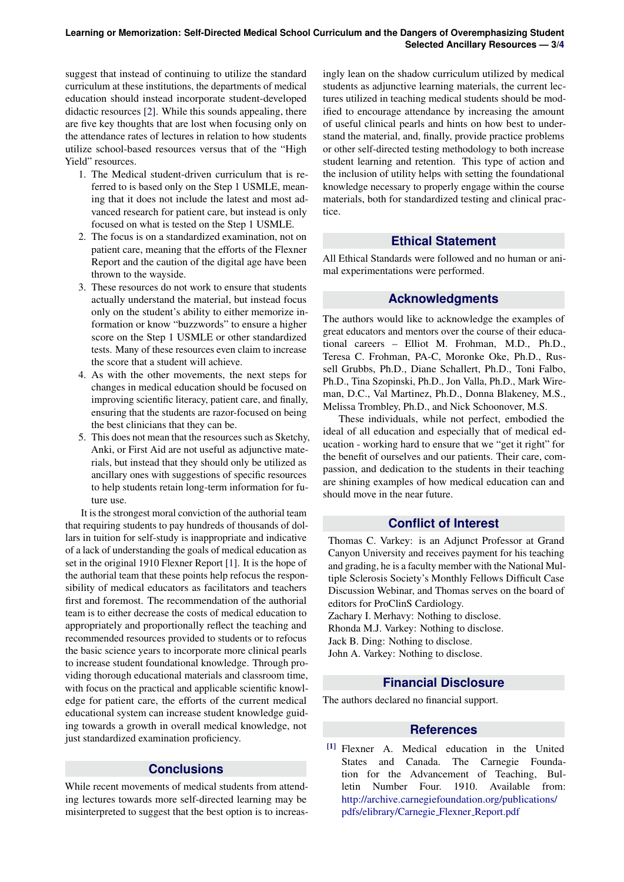suggest that instead of continuing to utilize the standard curriculum at these institutions, the departments of medical education should instead incorporate student-developed didactic resources [\[2\]](#page-3-0). While this sounds appealing, there are five key thoughts that are lost when focusing only on the attendance rates of lectures in relation to how students utilize school-based resources versus that of the "High Yield" resources.

- 1. The Medical student-driven curriculum that is referred to is based only on the Step 1 USMLE, meaning that it does not include the latest and most advanced research for patient care, but instead is only focused on what is tested on the Step 1 USMLE.
- 2. The focus is on a standardized examination, not on patient care, meaning that the efforts of the Flexner Report and the caution of the digital age have been thrown to the wayside.
- 3. These resources do not work to ensure that students actually understand the material, but instead focus only on the student's ability to either memorize information or know "buzzwords" to ensure a higher score on the Step 1 USMLE or other standardized tests. Many of these resources even claim to increase the score that a student will achieve.
- 4. As with the other movements, the next steps for changes in medical education should be focused on improving scientific literacy, patient care, and finally, ensuring that the students are razor-focused on being the best clinicians that they can be.
- 5. This does not mean that the resources such as Sketchy, Anki, or First Aid are not useful as adjunctive materials, but instead that they should only be utilized as ancillary ones with suggestions of specific resources to help students retain long-term information for future use.

It is the strongest moral conviction of the authorial team that requiring students to pay hundreds of thousands of dollars in tuition for self-study is inappropriate and indicative of a lack of understanding the goals of medical education as set in the original 1910 Flexner Report [\[1\]](#page-2-0). It is the hope of the authorial team that these points help refocus the responsibility of medical educators as facilitators and teachers first and foremost. The recommendation of the authorial team is to either decrease the costs of medical education to appropriately and proportionally reflect the teaching and recommended resources provided to students or to refocus the basic science years to incorporate more clinical pearls to increase student foundational knowledge. Through providing thorough educational materials and classroom time, with focus on the practical and applicable scientific knowledge for patient care, the efforts of the current medical educational system can increase student knowledge guiding towards a growth in overall medical knowledge, not just standardized examination proficiency.

#### **Conclusions**

While recent movements of medical students from attending lectures towards more self-directed learning may be misinterpreted to suggest that the best option is to increasingly lean on the shadow curriculum utilized by medical students as adjunctive learning materials, the current lectures utilized in teaching medical students should be modified to encourage attendance by increasing the amount of useful clinical pearls and hints on how best to understand the material, and, finally, provide practice problems or other self-directed testing methodology to both increase student learning and retention. This type of action and the inclusion of utility helps with setting the foundational knowledge necessary to properly engage within the course materials, both for standardized testing and clinical practice.

## **Ethical Statement**

All Ethical Standards were followed and no human or animal experimentations were performed.

## **Acknowledgments**

The authors would like to acknowledge the examples of great educators and mentors over the course of their educational careers – Elliot M. Frohman, M.D., Ph.D., Teresa C. Frohman, PA-C, Moronke Oke, Ph.D., Russell Grubbs, Ph.D., Diane Schallert, Ph.D., Toni Falbo, Ph.D., Tina Szopinski, Ph.D., Jon Valla, Ph.D., Mark Wireman, D.C., Val Martinez, Ph.D., Donna Blakeney, M.S., Melissa Trombley, Ph.D., and Nick Schoonover, M.S.

These individuals, while not perfect, embodied the ideal of all education and especially that of medical education - working hard to ensure that we "get it right" for the benefit of ourselves and our patients. Their care, compassion, and dedication to the students in their teaching are shining examples of how medical education can and should move in the near future.

# **Conflict of Interest**

Thomas C. Varkey: is an Adjunct Professor at Grand Canyon University and receives payment for his teaching and grading, he is a faculty member with the National Multiple Sclerosis Society's Monthly Fellows Difficult Case Discussion Webinar, and Thomas serves on the board of editors for ProClinS Cardiology. Zachary I. Merhavy: Nothing to disclose.

Rhonda M.J. Varkey: Nothing to disclose. Jack B. Ding: Nothing to disclose. John A. Varkey: Nothing to disclose.

# **Financial Disclosure**

The authors declared no financial support.

## **References**

<span id="page-2-0"></span>[1] Flexner A. Medical education in the United States and Canada. The Carnegie Foundation for the Advancement of Teaching, Bulletin Number Four. 1910. Available from: [http://archive.carnegiefoundation.org/publications/](http://archive.carnegiefoundation.org/publications/pdfs/elibrary/Carnegie_Flexner_Report.pdf) [pdfs/elibrary/Carnegie](http://archive.carnegiefoundation.org/publications/pdfs/elibrary/Carnegie_Flexner_Report.pdf) Flexner Report.pdf